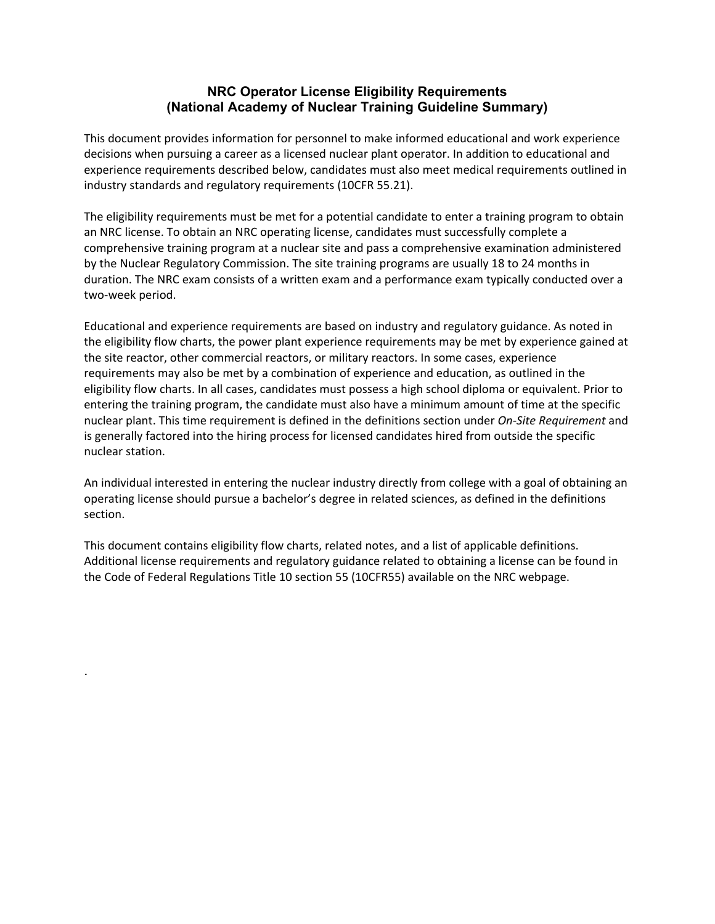## **NRC Operator License Eligibility Requirements (National Academy of Nuclear Training Guideline Summary)**

This document provides information for personnel to make informed educational and work experience decisions when pursuing a career as a licensed nuclear plant operator. In addition to educational and experience requirements described below, candidates must also meet medical requirements outlined in industry standards and regulatory requirements (10CFR 55.21).

The eligibility requirements must be met for a potential candidate to enter a training program to obtain an NRC license. To obtain an NRC operating license, candidates must successfully complete a comprehensive training program at a nuclear site and pass a comprehensive examination administered by the Nuclear Regulatory Commission. The site training programs are usually 18 to 24 months in duration. The NRC exam consists of a written exam and a performance exam typically conducted over a two-week period.

Educational and experience requirements are based on industry and regulatory guidance. As noted in the eligibility flow charts, the power plant experience requirements may be met by experience gained at the site reactor, other commercial reactors, or military reactors. In some cases, experience requirements may also be met by a combination of experience and education, as outlined in the eligibility flow charts. In all cases, candidates must possess a high school diploma or equivalent. Prior to entering the training program, the candidate must also have a minimum amount of time at the specific nuclear plant. This time requirement is defined in the definitions section under *On-Site Requirement* and is generally factored into the hiring process for licensed candidates hired from outside the specific nuclear station.

An individual interested in entering the nuclear industry directly from college with a goal of obtaining an operating license should pursue a bachelor's degree in related sciences, as defined in the definitions section.

This document contains eligibility flow charts, related notes, and a list of applicable definitions. Additional license requirements and regulatory guidance related to obtaining a license can be found in the Code of Federal Regulations Title 10 section 55 (10CFR55) available on the NRC webpage.

.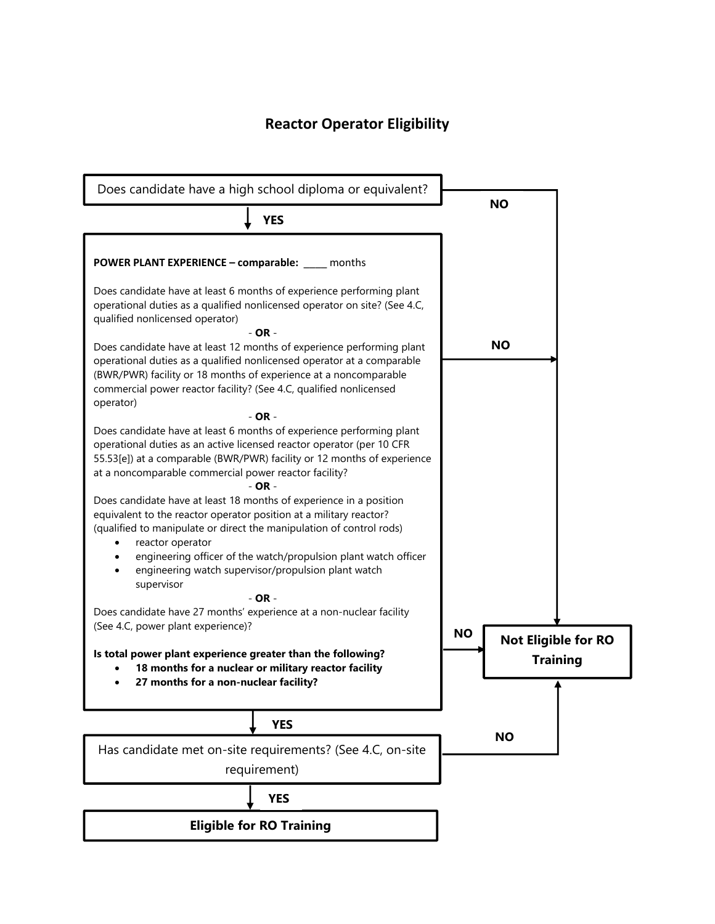# **Reactor Operator Eligibility**

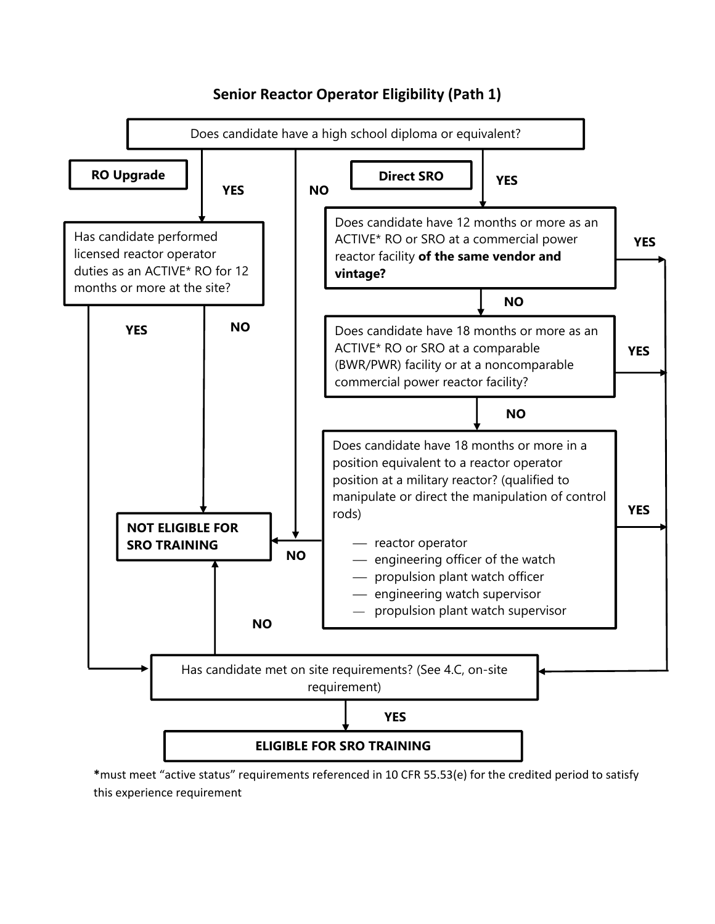

## **Senior Reactor Operator Eligibility (Path 1)**

**\***must meet "active status" requirements referenced in 10 CFR 55.53(e) for the credited period to satisfy this experience requirement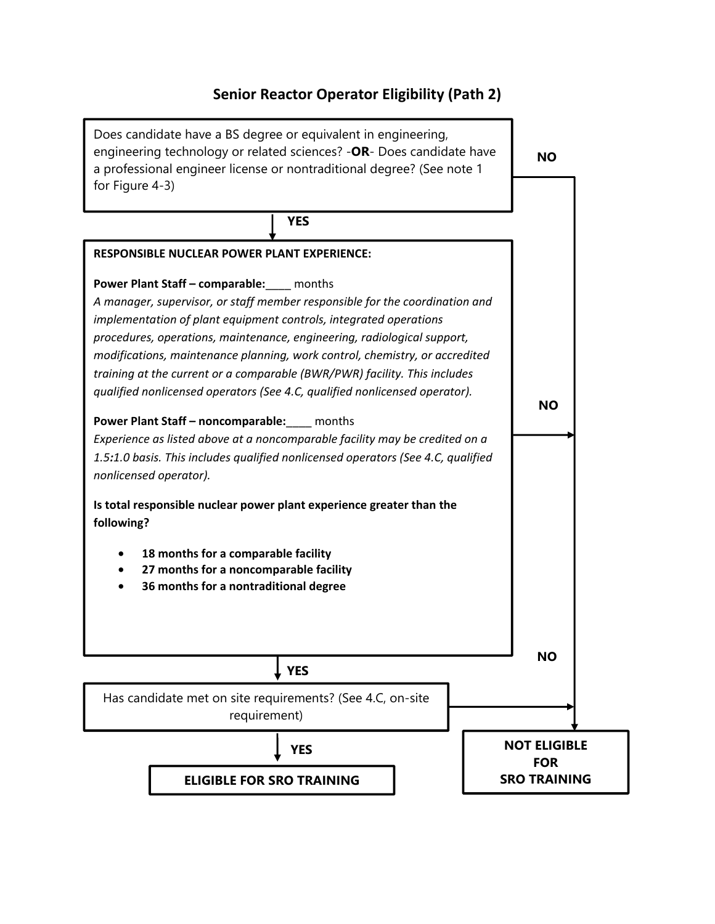# **Senior Reactor Operator Eligibility (Path 2)**

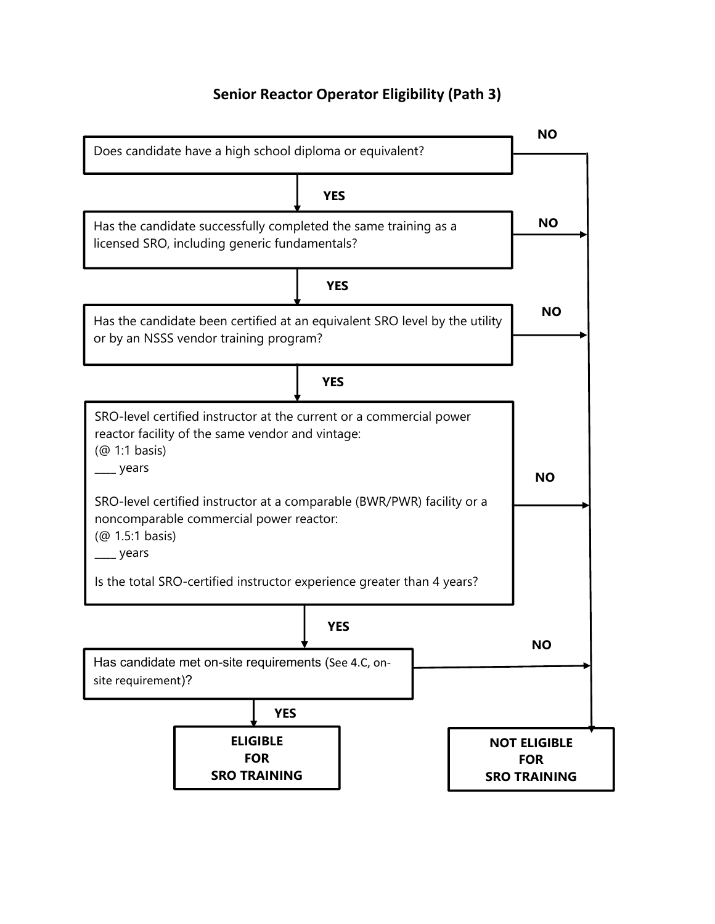# **Senior Reactor Operator Eligibility (Path 3)**

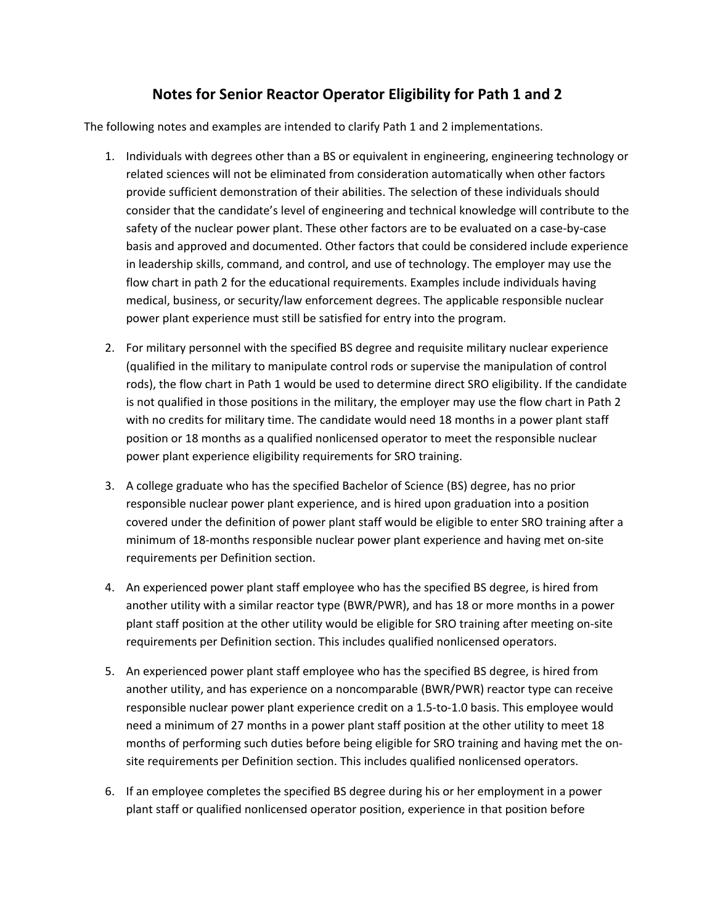## **Notes for Senior Reactor Operator Eligibility for Path 1 and 2**

The following notes and examples are intended to clarify Path 1 and 2 implementations.

- 1. Individuals with degrees other than a BS or equivalent in engineering, engineering technology or related sciences will not be eliminated from consideration automatically when other factors provide sufficient demonstration of their abilities. The selection of these individuals should consider that the candidate's level of engineering and technical knowledge will contribute to the safety of the nuclear power plant. These other factors are to be evaluated on a case-by-case basis and approved and documented. Other factors that could be considered include experience in leadership skills, command, and control, and use of technology. The employer may use the flow chart in path 2 for the educational requirements. Examples include individuals having medical, business, or security/law enforcement degrees. The applicable responsible nuclear power plant experience must still be satisfied for entry into the program.
- 2. For military personnel with the specified BS degree and requisite military nuclear experience (qualified in the military to manipulate control rods or supervise the manipulation of control rods), the flow chart in Path 1 would be used to determine direct SRO eligibility. If the candidate is not qualified in those positions in the military, the employer may use the flow chart in Path 2 with no credits for military time. The candidate would need 18 months in a power plant staff position or 18 months as a qualified nonlicensed operator to meet the responsible nuclear power plant experience eligibility requirements for SRO training.
- 3. A college graduate who has the specified Bachelor of Science (BS) degree, has no prior responsible nuclear power plant experience, and is hired upon graduation into a position covered under the definition of power plant staff would be eligible to enter SRO training after a minimum of 18-months responsible nuclear power plant experience and having met on-site requirements per Definition section.
- 4. An experienced power plant staff employee who has the specified BS degree, is hired from another utility with a similar reactor type (BWR/PWR), and has 18 or more months in a power plant staff position at the other utility would be eligible for SRO training after meeting on-site requirements per Definition section. This includes qualified nonlicensed operators.
- 5. An experienced power plant staff employee who has the specified BS degree, is hired from another utility, and has experience on a noncomparable (BWR/PWR) reactor type can receive responsible nuclear power plant experience credit on a 1.5-to-1.0 basis. This employee would need a minimum of 27 months in a power plant staff position at the other utility to meet 18 months of performing such duties before being eligible for SRO training and having met the onsite requirements per Definition section. This includes qualified nonlicensed operators.
- 6. If an employee completes the specified BS degree during his or her employment in a power plant staff or qualified nonlicensed operator position, experience in that position before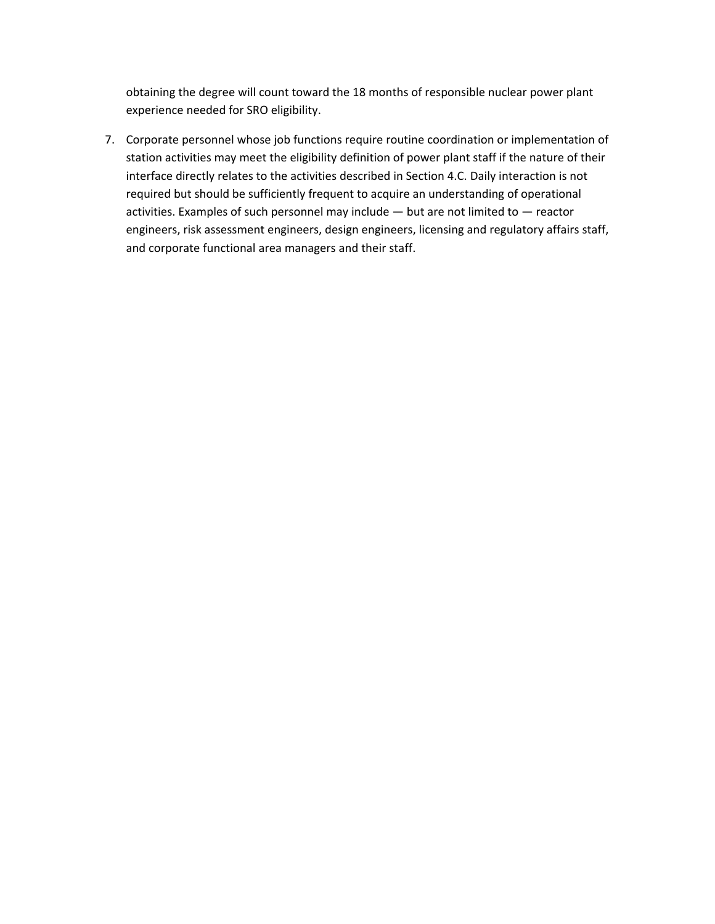obtaining the degree will count toward the 18 months of responsible nuclear power plant experience needed for SRO eligibility.

7. Corporate personnel whose job functions require routine coordination or implementation of station activities may meet the eligibility definition of power plant staff if the nature of their interface directly relates to the activities described in Section 4.C. Daily interaction is not required but should be sufficiently frequent to acquire an understanding of operational activities. Examples of such personnel may include — but are not limited to — reactor engineers, risk assessment engineers, design engineers, licensing and regulatory affairs staff, and corporate functional area managers and their staff.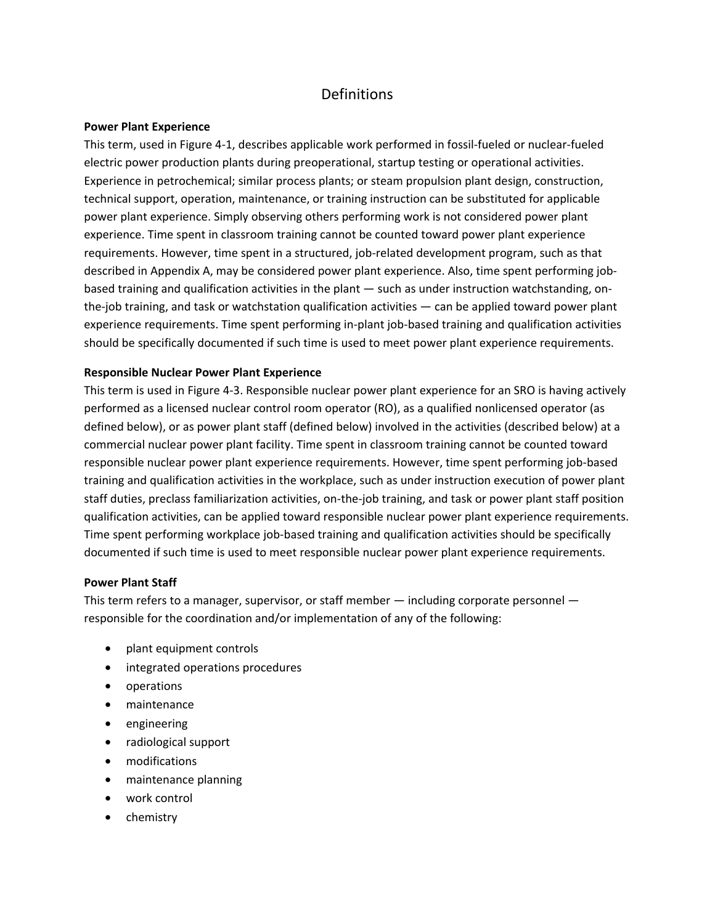## Definitions

## **Power Plant Experience**

This term, used in Figure 4-1, describes applicable work performed in fossil-fueled or nuclear-fueled electric power production plants during preoperational, startup testing or operational activities. Experience in petrochemical; similar process plants; or steam propulsion plant design, construction, technical support, operation, maintenance, or training instruction can be substituted for applicable power plant experience. Simply observing others performing work is not considered power plant experience. Time spent in classroom training cannot be counted toward power plant experience requirements. However, time spent in a structured, job-related development program, such as that described in Appendix A, may be considered power plant experience. Also, time spent performing jobbased training and qualification activities in the plant — such as under instruction watchstanding, onthe-job training, and task or watchstation qualification activities — can be applied toward power plant experience requirements. Time spent performing in-plant job-based training and qualification activities should be specifically documented if such time is used to meet power plant experience requirements.

### **Responsible Nuclear Power Plant Experience**

This term is used in Figure 4-3. Responsible nuclear power plant experience for an SRO is having actively performed as a licensed nuclear control room operator (RO), as a qualified nonlicensed operator (as defined below), or as power plant staff (defined below) involved in the activities (described below) at a commercial nuclear power plant facility. Time spent in classroom training cannot be counted toward responsible nuclear power plant experience requirements. However, time spent performing job-based training and qualification activities in the workplace, such as under instruction execution of power plant staff duties, preclass familiarization activities, on-the-job training, and task or power plant staff position qualification activities, can be applied toward responsible nuclear power plant experience requirements. Time spent performing workplace job-based training and qualification activities should be specifically documented if such time is used to meet responsible nuclear power plant experience requirements.

#### **Power Plant Staff**

This term refers to a manager, supervisor, or staff member — including corporate personnel responsible for the coordination and/or implementation of any of the following:

- plant equipment controls
- integrated operations procedures
- operations
- maintenance
- engineering
- radiological support
- modifications
- maintenance planning
- work control
- chemistry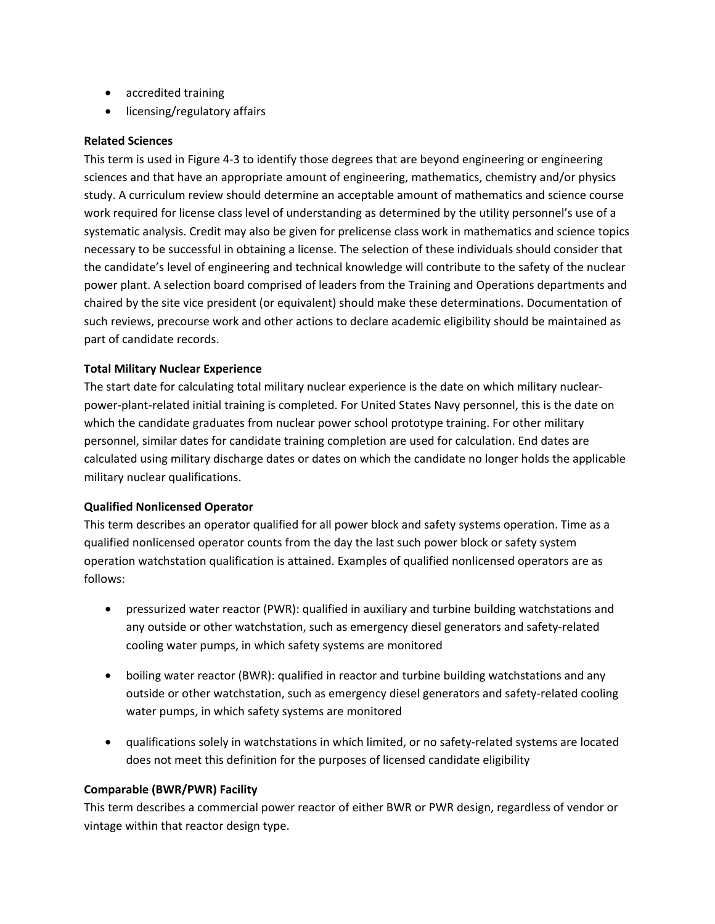- accredited training
- licensing/regulatory affairs

### **Related Sciences**

This term is used in Figure 4-3 to identify those degrees that are beyond engineering or engineering sciences and that have an appropriate amount of engineering, mathematics, chemistry and/or physics study. A curriculum review should determine an acceptable amount of mathematics and science course work required for license class level of understanding as determined by the utility personnel's use of a systematic analysis. Credit may also be given for prelicense class work in mathematics and science topics necessary to be successful in obtaining a license. The selection of these individuals should consider that the candidate's level of engineering and technical knowledge will contribute to the safety of the nuclear power plant. A selection board comprised of leaders from the Training and Operations departments and chaired by the site vice president (or equivalent) should make these determinations. Documentation of such reviews, precourse work and other actions to declare academic eligibility should be maintained as part of candidate records.

## **Total Military Nuclear Experience**

The start date for calculating total military nuclear experience is the date on which military nuclearpower-plant-related initial training is completed. For United States Navy personnel, this is the date on which the candidate graduates from nuclear power school prototype training. For other military personnel, similar dates for candidate training completion are used for calculation. End dates are calculated using military discharge dates or dates on which the candidate no longer holds the applicable military nuclear qualifications.

## **Qualified Nonlicensed Operator**

This term describes an operator qualified for all power block and safety systems operation. Time as a qualified nonlicensed operator counts from the day the last such power block or safety system operation watchstation qualification is attained. Examples of qualified nonlicensed operators are as follows:

- pressurized water reactor (PWR): qualified in auxiliary and turbine building watchstations and any outside or other watchstation, such as emergency diesel generators and safety-related cooling water pumps, in which safety systems are monitored
- boiling water reactor (BWR): qualified in reactor and turbine building watchstations and any outside or other watchstation, such as emergency diesel generators and safety-related cooling water pumps, in which safety systems are monitored
- qualifications solely in watchstations in which limited, or no safety-related systems are located does not meet this definition for the purposes of licensed candidate eligibility

#### **Comparable (BWR/PWR) Facility**

This term describes a commercial power reactor of either BWR or PWR design, regardless of vendor or vintage within that reactor design type.